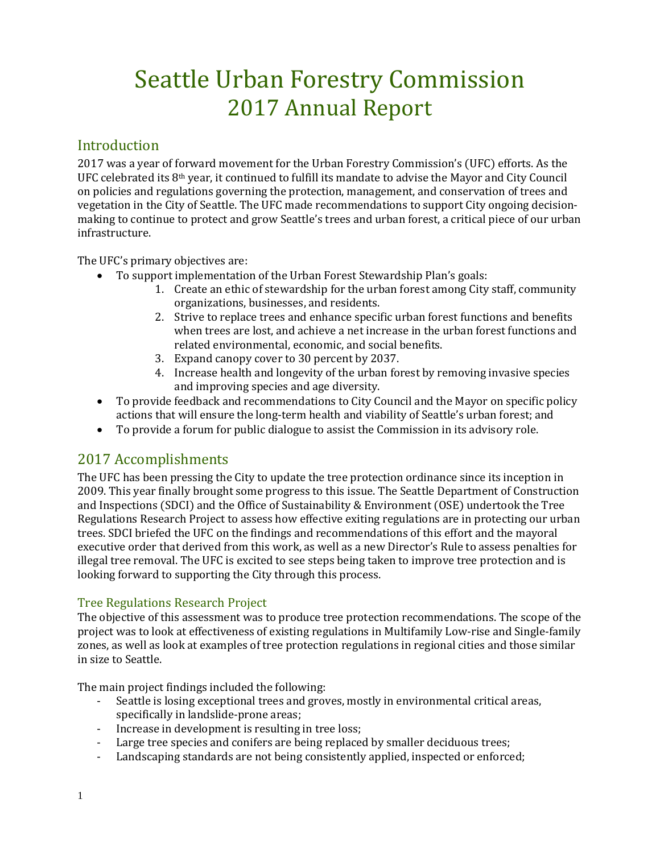# Seattle Urban Forestry Commission 2017 Annual Report

## **Introduction**

2017 was a year of forward movement for the Urban Forestry Commission's (UFC) efforts. As the UFC celebrated its 8th year, it continued to fulfill its mandate to advise the Mayor and City Council on policies and regulations governing the protection, management, and conservation of trees and vegetation in the City of Seattle. The UFC made recommendations to support City ongoing decisionmaking to continue to protect and grow Seattle's trees and urban forest, a critical piece of our urban infrastructure.

The UFC's primary objectives are:

- To support implementation of the Urban Forest Stewardship Plan's goals:
	- 1. Create an ethic of stewardship for the urban forest among City staff, community organizations, businesses, and residents.
	- 2. Strive to replace trees and enhance specific urban forest functions and benefits when trees are lost, and achieve a net increase in the urban forest functions and related environmental, economic, and social benefits.
	- 3. Expand canopy cover to 30 percent by 2037.
	- 4. Increase health and longevity of the urban forest by removing invasive species and improving species and age diversity.
- To provide feedback and recommendations to City Council and the Mayor on specific policy actions that will ensure the long-term health and viability of Seattle's urban forest; and
- To provide a forum for public dialogue to assist the Commission in its advisory role.

# 2017 Accomplishments

The UFC has been pressing the City to update the tree protection ordinance since its inception in 2009. This year finally brought some progress to this issue. The Seattle Department of Construction and Inspections (SDCI) and the Office of Sustainability & Environment (OSE) undertook the Tree Regulations Research Project to assess how effective exiting regulations are in protecting our urban trees. SDCI briefed the UFC on the findings and recommendations of this effort and the mayoral executive order that derived from this work, as well as a new Director's Rule to assess penalties for illegal tree removal. The UFC is excited to see steps being taken to improve tree protection and is looking forward to supporting the City through this process.

## Tree Regulations Research Project

The objective of this assessment was to produce tree protection recommendations. The scope of the project was to look at effectiveness of existing regulations in Multifamily Low-rise and Single-family zones, as well as look at examples of tree protection regulations in regional cities and those similar in size to Seattle.

The main project findings included the following:<br>- Seattle is losing exceptional trees and grow

- Seattle is losing exceptional trees and groves, mostly in environmental critical areas, specifically in landslide-prone areas;
- Increase in development is resulting in tree loss;
- Large tree species and conifers are being replaced by smaller deciduous trees;
- Landscaping standards are not being consistently applied, inspected or enforced;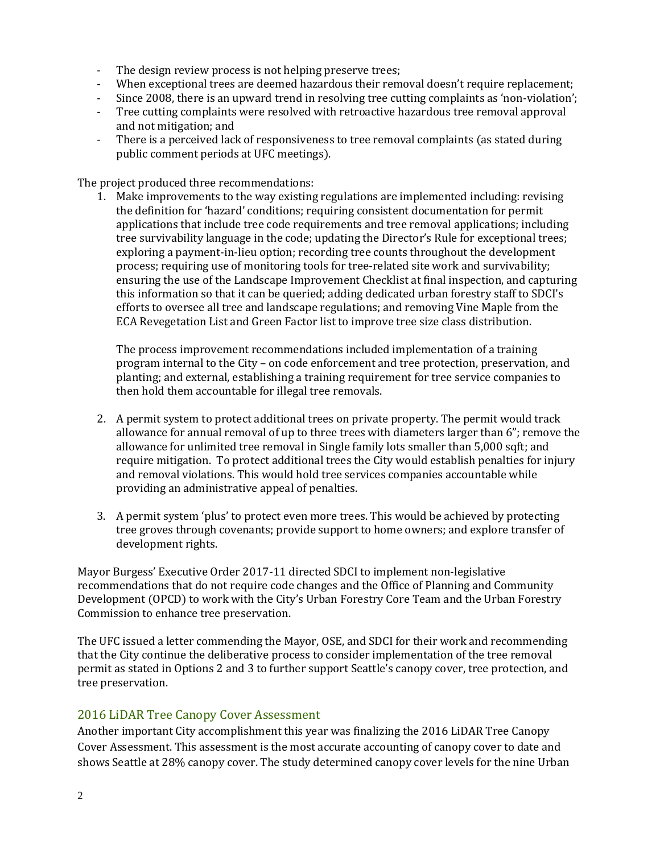- The design review process is not helping preserve trees;
- When exceptional trees are deemed hazardous their removal doesn't require replacement;<br>- Since 2008, there is an unward trend in resolving tree cutting complaints as 'non-violation':
- Since 2008, there is an upward trend in resolving tree cutting complaints as 'non-violation';<br>- Tree cutting complaints were resolved with retroactive hazardous tree removal approval
- Tree cutting complaints were resolved with retroactive hazardous tree removal approval and not mitigation; and
- There is a perceived lack of responsiveness to tree removal complaints (as stated during public comment periods at UFC meetings).

The project produced three recommendations:

1. Make improvements to the way existing regulations are implemented including: revising the definition for 'hazard' conditions; requiring consistent documentation for permit applications that include tree code requirements and tree removal applications; including tree survivability language in the code; updating the Director's Rule for exceptional trees; exploring a payment-in-lieu option; recording tree counts throughout the development process; requiring use of monitoring tools for tree-related site work and survivability; ensuring the use of the Landscape Improvement Checklist at final inspection, and capturing this information so that it can be queried; adding dedicated urban forestry staff to SDCI's efforts to oversee all tree and landscape regulations; and removing Vine Maple from the ECA Revegetation List and Green Factor list to improve tree size class distribution.

The process improvement recommendations included implementation of a training program internal to the City – on code enforcement and tree protection, preservation, and planting; and external, establishing a training requirement for tree service companies to then hold them accountable for illegal tree removals.

- 2. A permit system to protect additional trees on private property. The permit would track allowance for annual removal of up to three trees with diameters larger than 6"; remove the allowance for unlimited tree removal in Single family lots smaller than 5,000 sqft; and require mitigation. To protect additional trees the City would establish penalties for injury and removal violations. This would hold tree services companies accountable while providing an administrative appeal of penalties.
- 3. A permit system 'plus' to protect even more trees. This would be achieved by protecting tree groves through covenants; provide support to home owners; and explore transfer of development rights.

Mayor Burgess' Executive Order 2017-11 directed SDCI to implement non-legislative recommendations that do not require code changes and the Office of Planning and Community Development (OPCD) to work with the City's Urban Forestry Core Team and the Urban Forestry Commission to enhance tree preservation.

The UFC issued a letter commending the Mayor, OSE, and SDCI for their work and recommending that the City continue the deliberative process to consider implementation of the tree removal permit as stated in Options 2 and 3 to further support Seattle's canopy cover, tree protection, and tree preservation.

## 2016 LiDAR Tree Canopy Cover Assessment

Another important City accomplishment this year was finalizing the 2016 LiDAR Tree Canopy Cover Assessment. This assessment is the most accurate accounting of canopy cover to date and shows Seattle at 28% canopy cover. The study determined canopy cover levels for the nine Urban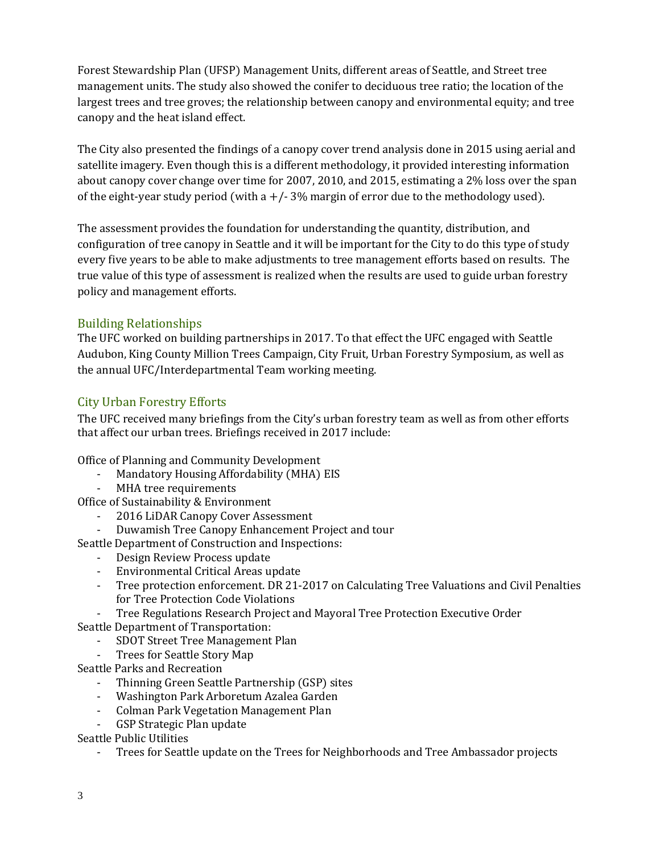Forest Stewardship Plan (UFSP) Management Units, different areas of Seattle, and Street tree management units. The study also showed the conifer to deciduous tree ratio; the location of the largest trees and tree groves; the relationship between canopy and environmental equity; and tree canopy and the heat island effect.

The City also presented the findings of a canopy cover trend analysis done in 2015 using aerial and satellite imagery. Even though this is a different methodology, it provided interesting information about canopy cover change over time for 2007, 2010, and 2015, estimating a 2% loss over the span of the eight-year study period (with  $a + (-3)$ % margin of error due to the methodology used).

The assessment provides the foundation for understanding the quantity, distribution, and configuration of tree canopy in Seattle and it will be important for the City to do this type of study every five years to be able to make adjustments to tree management efforts based on results. The true value of this type of assessment is realized when the results are used to guide urban forestry policy and management efforts.

## Building Relationships

The UFC worked on building partnerships in 2017. To that effect the UFC engaged with Seattle Audubon, King County Million Trees Campaign, City Fruit, Urban Forestry Symposium, as well as the annual UFC/Interdepartmental Team working meeting.

## City Urban Forestry Efforts

The UFC received many briefings from the City's urban forestry team as well as from other efforts that affect our urban trees. Briefings received in 2017 include:

Office of Planning and Community Development<br>Mandatory Housing Affordability (MHA)

- Mandatory Housing Affordability (MHA) EIS
- MHA tree requirements

Office of Sustainability & Environment

- 2016 LiDAR Canopy Cover Assessment<br>- Duwamish Tree Canopy Enhancement I
- Duwamish Tree Canopy Enhancement Project and tour

Seattle Department of Construction and Inspections:

- Design Review Process update
- Environmental Critical Areas update
- Tree protection enforcement. DR 21-2017 on Calculating Tree Valuations and Civil Penalties for Tree Protection Code Violations
- Tree Regulations Research Project and Mayoral Tree Protection Executive Order

Seattle Department of Transportation:

- SDOT Street Tree Management Plan<br>- Trees for Seattle Story Man
- Trees for Seattle Story Map
- Seattle Parks and Recreation
	- Thinning Green Seattle Partnership (GSP) sites
	- Washington Park Arboretum Azalea Garden
	- Colman Park Vegetation Management Plan
	- GSP Strategic Plan update

Seattle Public Utilities

- Trees for Seattle update on the Trees for Neighborhoods and Tree Ambassador projects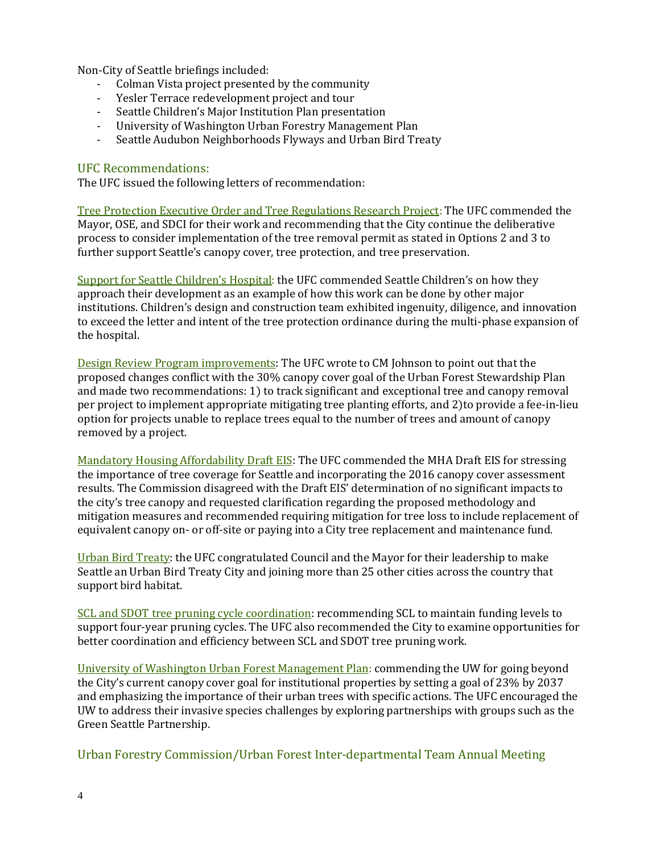Non-City of Seattle briefings included:

- Colman Vista project presented by the community<br>- Yesler Terrace redevelonment project and tour
- Yesler Terrace redevelopment project and tour
- Seattle Children's Major Institution Plan presentation
- University of Washington Urban Forestry Management Plan
- Seattle Audubon Neighborhoods Flyways and Urban Bird Treaty

### UFC Recommendations:

The UFC issued the following letters of recommendation:

Tree Protection Executive Order and Tree Regulations Research Project: The UFC commended the Mayor, OSE, and SDCI for their work and recommending that the City continue the deliberative process to consider implementation of the tree removal permit as stated in Options 2 and 3 to further support Seattle's canopy cover, tree protection, and tree preservation.

Support for Seattle Children's Hospital: the UFC commended Seattle Children's on how they approach their development as an example of how this work can be done by other major institutions. Children's design and construction team exhibited ingenuity, diligence, and innovation to exceed the letter and intent of the tree protection ordinance during the multi-phase expansion of the hospital.

Design Review Program improvements: The UFC wrote to CM Johnson to point out that the proposed changes conflict with the 30% canopy cover goal of the Urban Forest Stewardship Plan and made two recommendations: 1) to track significant and exceptional tree and canopy removal per project to implement appropriate mitigating tree planting efforts, and 2)to provide a fee-in-lieu option for projects unable to replace trees equal to the number of trees and amount of canopy removed by a project.

Mandatory Housing Affordability Draft EIS: The UFC commended the MHA Draft EIS for stressing the importance of tree coverage for Seattle and incorporating the 2016 canopy cover assessment results. The Commission disagreed with the Draft EIS' determination of no significant impacts to the city's tree canopy and requested clarification regarding the proposed methodology and mitigation measures and recommended requiring mitigation for tree loss to include replacement of equivalent canopy on- or off-site or paying into a City tree replacement and maintenance fund.

Urban Bird Treaty: the UFC congratulated Council and the Mayor for their leadership to make Seattle an Urban Bird Treaty City and joining more than 25 other cities across the country that support bird habitat.

SCL and SDOT tree pruning cycle coordination: recommending SCL to maintain funding levels to support four-year pruning cycles. The UFC also recommended the City to examine opportunities for better coordination and efficiency between SCL and SDOT tree pruning work.

University of Washington Urban Forest Management Plan: commending the UW for going beyond the City's current canopy cover goal for institutional properties by setting a goal of 23% by 2037 and emphasizing the importance of their urban trees with specific actions. The UFC encouraged the UW to address their invasive species challenges by exploring partnerships with groups such as the Green Seattle Partnership.

Urban Forestry Commission/Urban Forest Inter-departmental Team Annual Meeting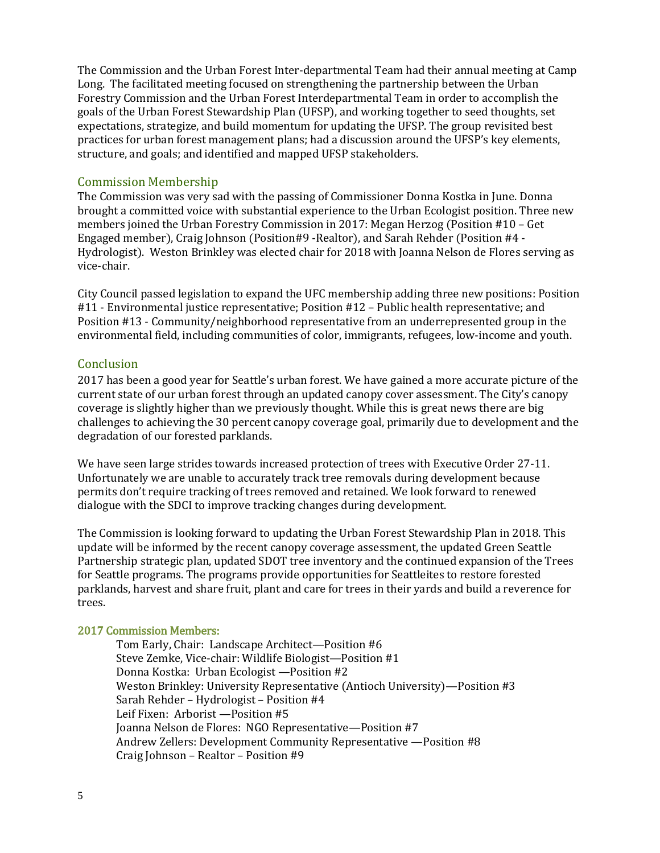The Commission and the Urban Forest Inter-departmental Team had their annual meeting at Camp Long. The facilitated meeting focused on strengthening the partnership between the Urban Forestry Commission and the Urban Forest Interdepartmental Team in order to accomplish the goals of the Urban Forest Stewardship Plan (UFSP), and working together to seed thoughts, set expectations, strategize, and build momentum for updating the UFSP. The group revisited best practices for urban forest management plans; had a discussion around the UFSP's key elements, structure, and goals; and identified and mapped UFSP stakeholders.

#### Commission Membership

The Commission was very sad with the passing of Commissioner Donna Kostka in June. Donna brought a committed voice with substantial experience to the Urban Ecologist position. Three new members joined the Urban Forestry Commission in 2017: Megan Herzog (Position #10 – Get Engaged member), Craig Johnson (Position#9 -Realtor), and Sarah Rehder (Position #4 - Hydrologist). Weston Brinkley was elected chair for 2018 with Joanna Nelson de Flores serving as vice-chair.

City Council passed legislation to expand the UFC membership adding three new positions: Position #11 - Environmental justice representative; Position #12 – Public health representative; and Position #13 - Community/neighborhood representative from an underrepresented group in the environmental field, including communities of color, immigrants, refugees, low-income and youth.

#### **Conclusion**

2017 has been a good year for Seattle's urban forest. We have gained a more accurate picture of the current state of our urban forest through an updated canopy cover assessment. The City's canopy coverage is slightly higher than we previously thought. While this is great news there are big challenges to achieving the 30 percent canopy coverage goal, primarily due to development and the degradation of our forested parklands.

We have seen large strides towards increased protection of trees with Executive Order 27-11. Unfortunately we are unable to accurately track tree removals during development because permits don't require tracking of trees removed and retained. We look forward to renewed dialogue with the SDCI to improve tracking changes during development.

The Commission is looking forward to updating the Urban Forest Stewardship Plan in 2018. This update will be informed by the recent canopy coverage assessment, the updated Green Seattle Partnership strategic plan, updated SDOT tree inventory and the continued expansion of the Trees for Seattle programs. The programs provide opportunities for Seattleites to restore forested parklands, harvest and share fruit, plant and care for trees in their yards and build a reverence for trees.

#### 2017 Commission Members:

Tom Early, Chair: Landscape Architect—Position #6 Steve Zemke, Vice-chair: Wildlife Biologist—Position #1 Donna Kostka: Urban Ecologist —Position #2 Weston Brinkley: University Representative (Antioch University)—Position #3 Sarah Rehder – Hydrologist – Position #4 Leif Fixen: Arborist —Position #5 Joanna Nelson de Flores: NGO Representative—Position #7 Andrew Zellers: Development Community Representative —Position #8 Craig Johnson – Realtor – Position #9